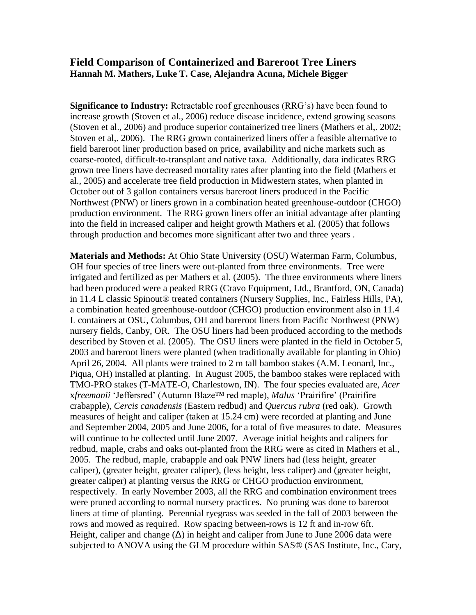## **Field Comparison of Containerized and Bareroot Tree Liners Hannah M. Mathers, Luke T. Case, Alejandra Acuna, Michele Bigger**

**Significance to Industry:** Retractable roof greenhouses (RRG's) have been found to increase growth (Stoven et al., 2006) reduce disease incidence, extend growing seasons (Stoven et al., 2006) and produce superior containerized tree liners (Mathers et al,. 2002; Stoven et al,. 2006). The RRG grown containerized liners offer a feasible alternative to field bareroot liner production based on price, availability and niche markets such as coarse-rooted, difficult-to-transplant and native taxa. Additionally, data indicates RRG grown tree liners have decreased mortality rates after planting into the field (Mathers et al., 2005) and accelerate tree field production in Midwestern states, when planted in October out of 3 gallon containers versus bareroot liners produced in the Pacific Northwest (PNW) or liners grown in a combination heated greenhouse-outdoor (CHGO) production environment. The RRG grown liners offer an initial advantage after planting into the field in increased caliper and height growth Mathers et al. (2005) that follows through production and becomes more significant after two and three years .

**Materials and Methods:** At Ohio State University (OSU) Waterman Farm, Columbus, OH four species of tree liners were out-planted from three environments. Tree were irrigated and fertilized as per Mathers et al. (2005). The three environments where liners had been produced were a peaked RRG (Cravo Equipment, Ltd., Brantford, ON, Canada) in 11.4 L classic Spinout® treated containers (Nursery Supplies, Inc., Fairless Hills, PA), a combination heated greenhouse-outdoor (CHGO) production environment also in 11.4 L containers at OSU, Columbus, OH and bareroot liners from Pacific Northwest (PNW) nursery fields, Canby, OR. The OSU liners had been produced according to the methods described by Stoven et al. (2005). The OSU liners were planted in the field in October 5, 2003 and bareroot liners were planted (when traditionally available for planting in Ohio) April 26, 2004. All plants were trained to 2 m tall bamboo stakes (A.M. Leonard, Inc., Piqua, OH) installed at planting. In August 2005, the bamboo stakes were replaced with TMO-PRO stakes (T-MATE-O, Charlestown, IN). The four species evaluated are, *Acer*  x*freemanii* 'Jeffersred' (Autumn Blaze™ red maple), *Malus* 'Prairifire' (Prairifire crabapple), *Cercis canadensis* (Eastern redbud) and *Quercus rubra* (red oak). Growth measures of height and caliper (taken at 15.24 cm) were recorded at planting and June and September 2004, 2005 and June 2006, for a total of five measures to date. Measures will continue to be collected until June 2007. Average initial heights and calipers for redbud, maple, crabs and oaks out-planted from the RRG were as cited in Mathers et al., 2005. The redbud, maple, crabapple and oak PNW liners had (less height, greater caliper), (greater height, greater caliper), (less height, less caliper) and (greater height, greater caliper) at planting versus the RRG or CHGO production environment, respectively. In early November 2003, all the RRG and combination environment trees were pruned according to normal nursery practices. No pruning was done to bareroot liners at time of planting. Perennial ryegrass was seeded in the fall of 2003 between the rows and mowed as required. Row spacing between-rows is 12 ft and in-row 6ft. Height, caliper and change  $(\Delta)$  in height and caliper from June to June 2006 data were subjected to ANOVA using the GLM procedure within SAS® (SAS Institute, Inc., Cary,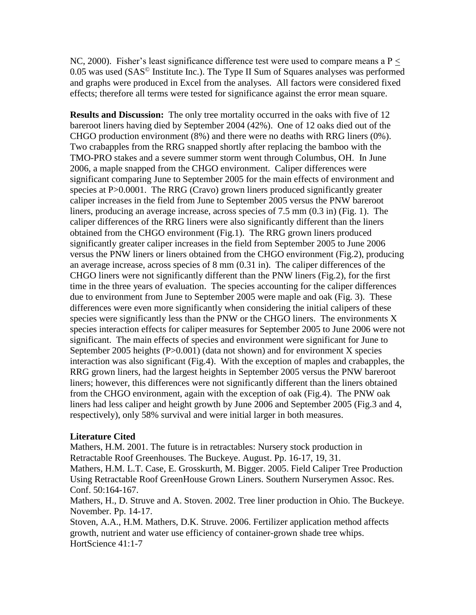NC, 2000). Fisher's least significance difference test were used to compare means a  $P <$ 0.05 was used  $(SAS^{\circledcirc}$  Institute Inc.). The Type II Sum of Squares analyses was performed and graphs were produced in Excel from the analyses. All factors were considered fixed effects; therefore all terms were tested for significance against the error mean square.

**Results and Discussion:** The only tree mortality occurred in the oaks with five of 12 bareroot liners having died by September 2004 (42%). One of 12 oaks died out of the CHGO production environment (8%) and there were no deaths with RRG liners (0%). Two crabapples from the RRG snapped shortly after replacing the bamboo with the TMO-PRO stakes and a severe summer storm went through Columbus, OH. In June 2006, a maple snapped from the CHGO environment. Caliper differences were significant comparing June to September 2005 for the main effects of environment and species at P>0.0001. The RRG (Cravo) grown liners produced significantly greater caliper increases in the field from June to September 2005 versus the PNW bareroot liners, producing an average increase, across species of 7.5 mm (0.3 in) (Fig. 1). The caliper differences of the RRG liners were also significantly different than the liners obtained from the CHGO environment (Fig.1). The RRG grown liners produced significantly greater caliper increases in the field from September 2005 to June 2006 versus the PNW liners or liners obtained from the CHGO environment (Fig.2), producing an average increase, across species of 8 mm (0.31 in). The caliper differences of the CHGO liners were not significantly different than the PNW liners (Fig.2), for the first time in the three years of evaluation. The species accounting for the caliper differences due to environment from June to September 2005 were maple and oak (Fig. 3). These differences were even more significantly when considering the initial calipers of these species were significantly less than the PNW or the CHGO liners. The environments X species interaction effects for caliper measures for September 2005 to June 2006 were not significant. The main effects of species and environment were significant for June to September 2005 heights (P>0.001) (data not shown) and for environment X species interaction was also significant (Fig.4). With the exception of maples and crabapples, the RRG grown liners, had the largest heights in September 2005 versus the PNW bareroot liners; however, this differences were not significantly different than the liners obtained from the CHGO environment, again with the exception of oak (Fig.4). The PNW oak liners had less caliper and height growth by June 2006 and September 2005 (Fig.3 and 4, respectively), only 58% survival and were initial larger in both measures.

## **Literature Cited**

Mathers, H.M. 2001. The future is in retractables: Nursery stock production in Retractable Roof Greenhouses. The Buckeye. August. Pp. 16-17, 19, 31.

Mathers, H.M. L.T. Case, E. Grosskurth, M. Bigger. 2005. Field Caliper Tree Production Using Retractable Roof GreenHouse Grown Liners. Southern Nurserymen Assoc. Res. Conf. 50:164-167.

Mathers, H., D. Struve and A. Stoven. 2002. Tree liner production in Ohio. The Buckeye. November. Pp. 14-17.

Stoven, A.A., H.M. Mathers, D.K. Struve. 2006. Fertilizer application method affects growth, nutrient and water use efficiency of container-grown shade tree whips. HortScience 41:1-7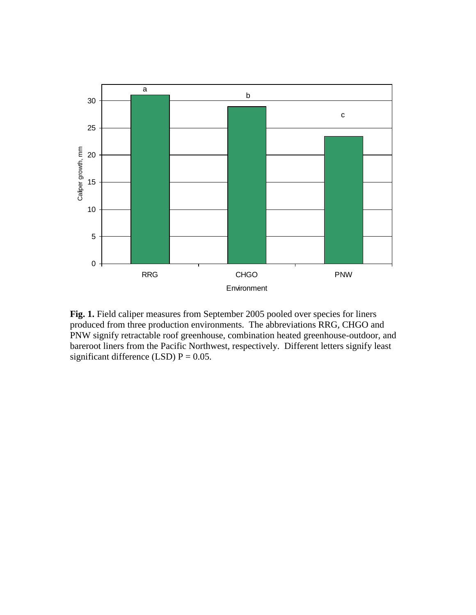

**Fig. 1.** Field caliper measures from September 2005 pooled over species for liners produced from three production environments. The abbreviations RRG, CHGO and PNW signify retractable roof greenhouse, combination heated greenhouse-outdoor, and bareroot liners from the Pacific Northwest, respectively. Different letters signify least significant difference (LSD)  $P = 0.05$ .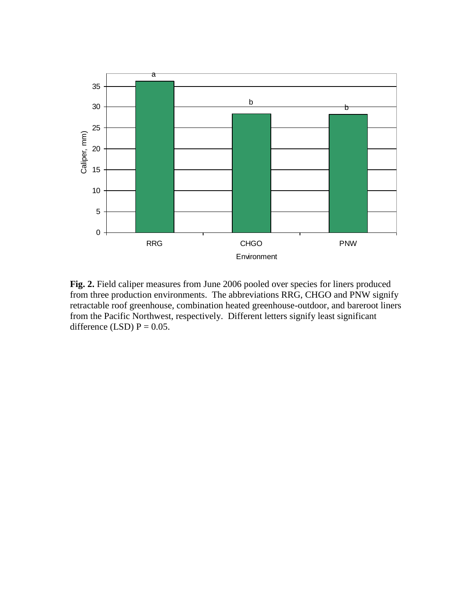

**Fig. 2.** Field caliper measures from June 2006 pooled over species for liners produced from three production environments. The abbreviations RRG, CHGO and PNW signify retractable roof greenhouse, combination heated greenhouse-outdoor, and bareroot liners from the Pacific Northwest, respectively. Different letters signify least significant difference (LSD)  $P = 0.05$ .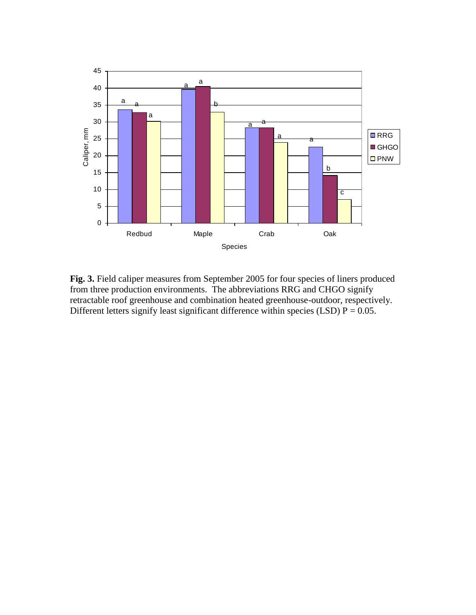

**Fig. 3.** Field caliper measures from September 2005 for four species of liners produced from three production environments. The abbreviations RRG and CHGO signify retractable roof greenhouse and combination heated greenhouse-outdoor, respectively. Different letters signify least significant difference within species (LSD)  $P = 0.05$ .